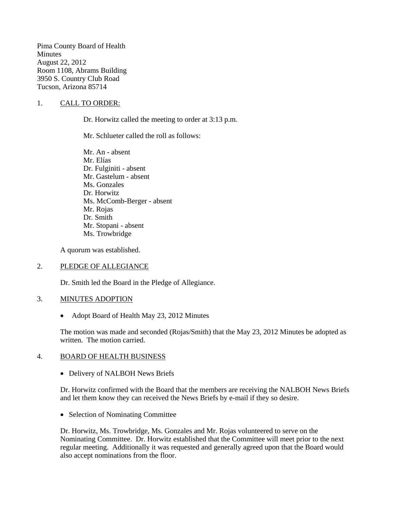Pima County Board of Health Minutes August 22, 2012 Room 1108, Abrams Building 3950 S. Country Club Road Tucson, Arizona 85714

### 1. CALL TO ORDER:

Dr. Horwitz called the meeting to order at 3:13 p.m.

Mr. Schlueter called the roll as follows:

Mr. An - absent Mr. Elías Dr. Fulginiti - absent Mr. Gastelum - absent Ms. Gonzales Dr. Horwitz Ms. McComb-Berger - absent Mr. Rojas Dr. Smith Mr. Stopani - absent Ms. Trowbridge

A quorum was established.

### 2. PLEDGE OF ALLEGIANCE

Dr. Smith led the Board in the Pledge of Allegiance.

# 3. MINUTES ADOPTION

• Adopt Board of Health May 23, 2012 Minutes

The motion was made and seconded (Rojas/Smith) that the May 23, 2012 Minutes be adopted as written. The motion carried.

#### 4. BOARD OF HEALTH BUSINESS

• Delivery of NALBOH News Briefs

Dr. Horwitz confirmed with the Board that the members are receiving the NALBOH News Briefs and let them know they can received the News Briefs by e-mail if they so desire.

• Selection of Nominating Committee

Dr. Horwitz, Ms. Trowbridge, Ms. Gonzales and Mr. Rojas volunteered to serve on the Nominating Committee. Dr. Horwitz established that the Committee will meet prior to the next regular meeting. Additionally it was requested and generally agreed upon that the Board would also accept nominations from the floor.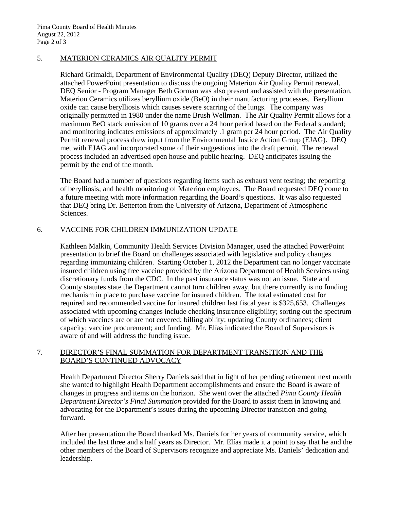# 5. MATERION CERAMICS AIR QUALITY PERMIT

Richard Grimaldi, Department of Environmental Quality (DEQ) Deputy Director, utilized the attached PowerPoint presentation to discuss the ongoing Materion Air Quality Permit renewal. DEQ Senior - Program Manager Beth Gorman was also present and assisted with the presentation. Materion Ceramics utilizes beryllium oxide (BeO) in their manufacturing processes. Beryllium oxide can cause berylliosis which causes severe scarring of the lungs. The company was originally permitted in 1980 under the name Brush Wellman. The Air Quality Permit allows for a maximum BeO stack emission of 10 grams over a 24 hour period based on the Federal standard; and monitoring indicates emissions of approximately .1 gram per 24 hour period. The Air Quality Permit renewal process drew input from the Environmental Justice Action Group (EJAG). DEQ met with EJAG and incorporated some of their suggestions into the draft permit. The renewal process included an advertised open house and public hearing. DEQ anticipates issuing the permit by the end of the month.

The Board had a number of questions regarding items such as exhaust vent testing; the reporting of berylliosis; and health monitoring of Materion employees. The Board requested DEQ come to a future meeting with more information regarding the Board's questions. It was also requested that DEQ bring Dr. Betterton from the University of Arizona, Department of Atmospheric Sciences.

# 6. VACCINE FOR CHILDREN IMMUNIZATION UPDATE

Kathleen Malkin, Community Health Services Division Manager, used the attached PowerPoint presentation to brief the Board on challenges associated with legislative and policy changes regarding immunizing children. Starting October 1, 2012 the Department can no longer vaccinate insured children using free vaccine provided by the Arizona Department of Health Services using discretionary funds from the CDC. In the past insurance status was not an issue. State and County statutes state the Department cannot turn children away, but there currently is no funding mechanism in place to purchase vaccine for insured children. The total estimated cost for required and recommended vaccine for insured children last fiscal year is \$325,653. Challenges associated with upcoming changes include checking insurance eligibility; sorting out the spectrum of which vaccines are or are not covered; billing ability; updating County ordinances; client capacity; vaccine procurement; and funding. Mr. Elías indicated the Board of Supervisors is aware of and will address the funding issue.

### 7. DIRECTOR'S FINAL SUMMATION FOR DEPARTMENT TRANSITION AND THE BOARD'S CONTINUED ADVOCACY

Health Department Director Sherry Daniels said that in light of her pending retirement next month she wanted to highlight Health Department accomplishments and ensure the Board is aware of changes in progress and items on the horizon. She went over the attached *Pima County Health Department Director's Final Summation* provided for the Board to assist them in knowing and advocating for the Department's issues during the upcoming Director transition and going forward.

After her presentation the Board thanked Ms. Daniels for her years of community service, which included the last three and a half years as Director. Mr. Elías made it a point to say that he and the other members of the Board of Supervisors recognize and appreciate Ms. Daniels' dedication and leadership.